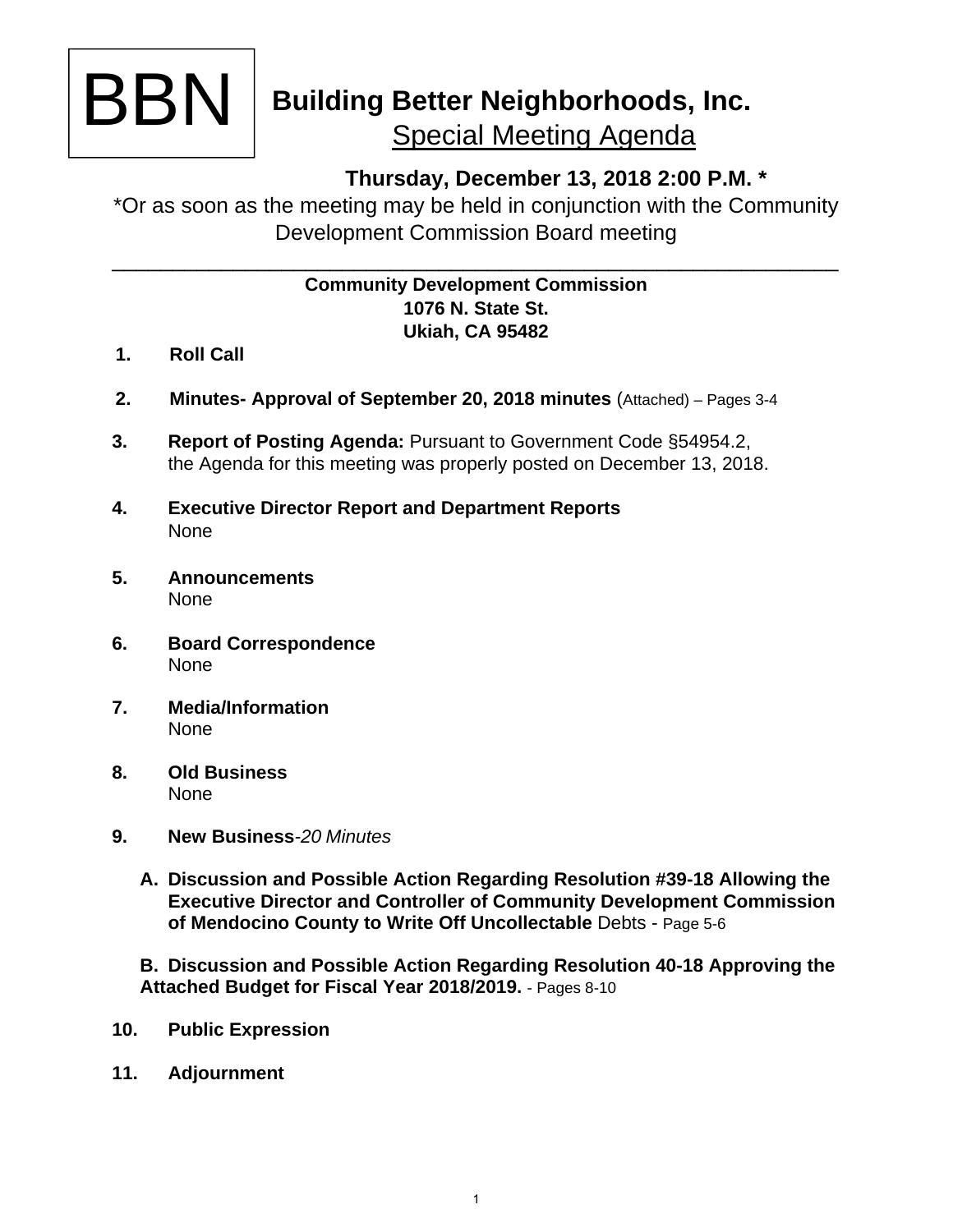

# **Building Better Neighborhoods, Inc.**  Special Meeting Agenda

## **Thursday, December 13, 2018 2:00 P.M. \***

\*Or as soon as the meeting may be held in conjunction with the Community Development Commission Board meeting

\_\_\_\_\_\_\_\_\_\_\_\_\_\_\_\_\_\_\_\_\_\_\_\_\_\_\_\_\_\_\_\_\_\_\_\_\_\_\_\_\_\_\_\_\_\_\_\_\_\_\_\_\_\_\_\_\_\_\_\_

### **Community Development Commission 1076 N. State St. Ukiah, CA 95482**

- **1. Roll Call**
- **2. Minutes- Approval of September 20, 2018 minutes** (Attached) Pages 3-4
- **3. Report of Posting Agenda:** Pursuant to Government Code §54954.2, the Agenda for this meeting was properly posted on December 13, 2018.
- **4. Executive Director Report and Department Reports**  None
- **5. Announcements**  None
- **6. Board Correspondence**  None
- **7. Media/Information**  None
- **8. Old Business**  None
- **9. New Business***-20 Minutes* 
	- **A. Discussion and Possible Action Regarding Resolution #39-18 Allowing the Executive Director and Controller of Community Development Commission of Mendocino County to Write Off Uncollectable** Debts - Page 5-6

**B. Discussion and Possible Action Regarding Resolution 40-18 Approving the Attached Budget for Fiscal Year 2018/2019.** - Pages 8-10

- **10. Public Expression**
- **11. Adjournment**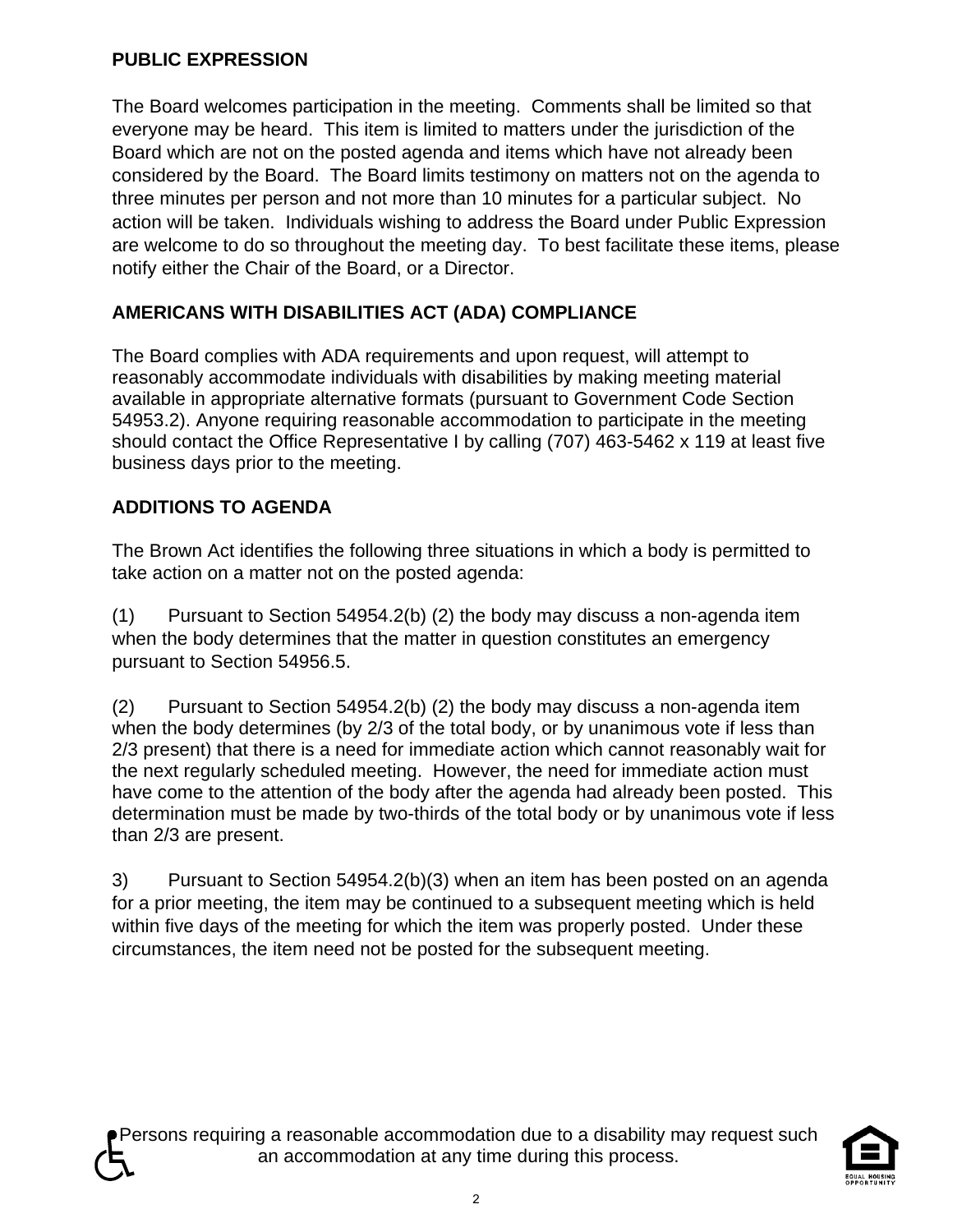## **PUBLIC EXPRESSION**

The Board welcomes participation in the meeting. Comments shall be limited so that everyone may be heard. This item is limited to matters under the jurisdiction of the Board which are not on the posted agenda and items which have not already been considered by the Board. The Board limits testimony on matters not on the agenda to three minutes per person and not more than 10 minutes for a particular subject. No action will be taken. Individuals wishing to address the Board under Public Expression are welcome to do so throughout the meeting day. To best facilitate these items, please notify either the Chair of the Board, or a Director.

## **AMERICANS WITH DISABILITIES ACT (ADA) COMPLIANCE**

The Board complies with ADA requirements and upon request, will attempt to reasonably accommodate individuals with disabilities by making meeting material available in appropriate alternative formats (pursuant to Government Code Section 54953.2). Anyone requiring reasonable accommodation to participate in the meeting should contact the Office Representative I by calling (707) 463-5462 x 119 at least five business days prior to the meeting.

## **ADDITIONS TO AGENDA**

The Brown Act identifies the following three situations in which a body is permitted to take action on a matter not on the posted agenda:

(1) Pursuant to Section 54954.2(b) (2) the body may discuss a non-agenda item when the body determines that the matter in question constitutes an emergency pursuant to Section 54956.5.

(2) Pursuant to Section 54954.2(b) (2) the body may discuss a non-agenda item when the body determines (by 2/3 of the total body, or by unanimous vote if less than 2/3 present) that there is a need for immediate action which cannot reasonably wait for the next regularly scheduled meeting. However, the need for immediate action must have come to the attention of the body after the agenda had already been posted. This determination must be made by two-thirds of the total body or by unanimous vote if less than 2/3 are present.

3) Pursuant to Section 54954.2(b)(3) when an item has been posted on an agenda for a prior meeting, the item may be continued to a subsequent meeting which is held within five days of the meeting for which the item was properly posted. Under these circumstances, the item need not be posted for the subsequent meeting.

Persons requiring a reasonable accommodation due to a disability may request such an accommodation at any time during this process.

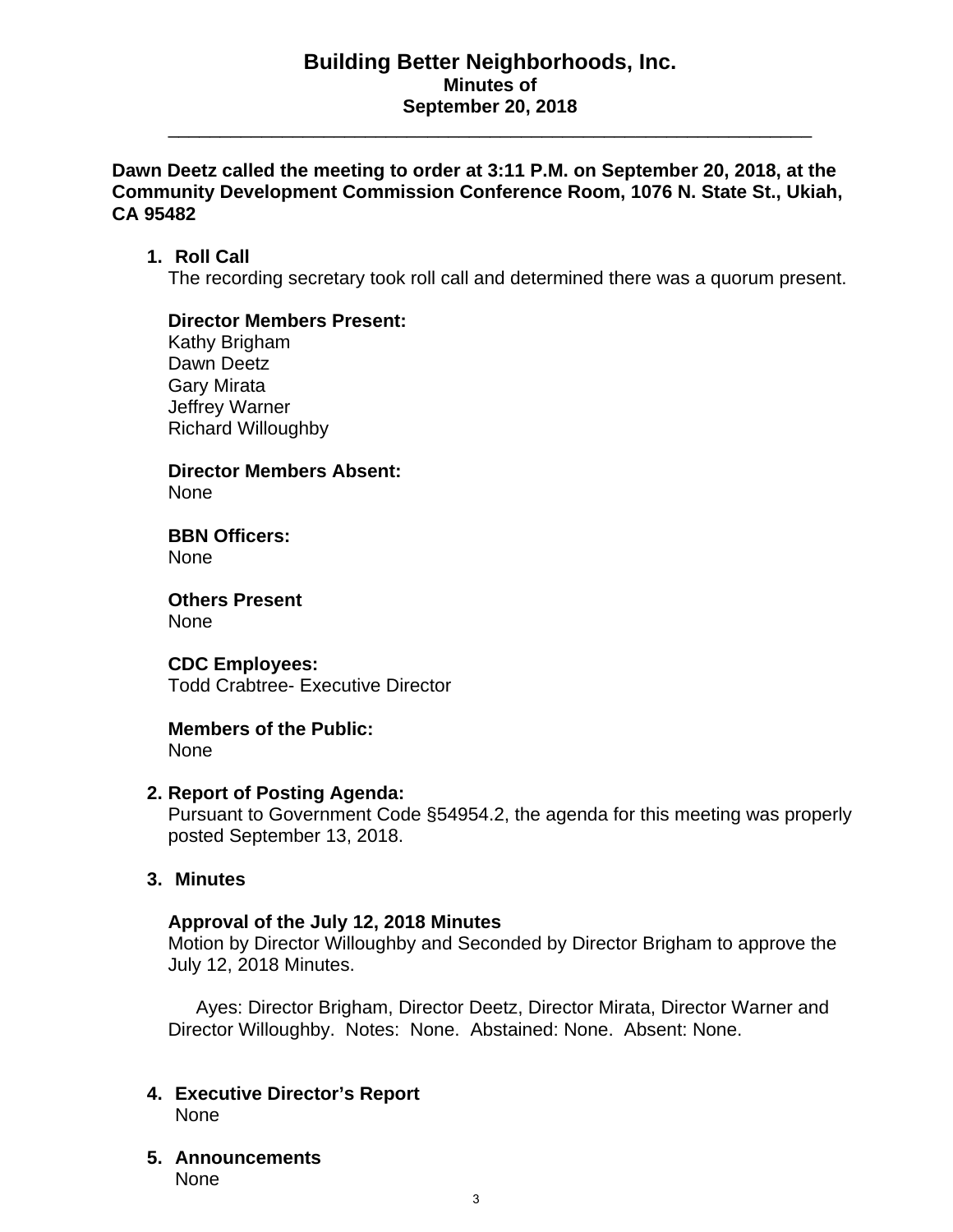#### **Building Better Neighborhoods, Inc. Minutes of September 20, 2018**

\_\_\_\_\_\_\_\_\_\_\_\_\_\_\_\_\_\_\_\_\_\_\_\_\_\_\_\_\_\_\_\_\_\_\_\_\_\_\_\_\_\_\_\_\_\_\_\_\_\_\_\_\_\_\_\_\_\_\_\_\_\_

#### **Dawn Deetz called the meeting to order at 3:11 P.M. on September 20, 2018, at the Community Development Commission Conference Room, 1076 N. State St., Ukiah, CA 95482**

#### **1. Roll Call**

The recording secretary took roll call and determined there was a quorum present.

#### **Director Members Present:**

Kathy Brigham Dawn Deetz Gary Mirata Jeffrey Warner Richard Willoughby

**Director Members Absent:**  None

**BBN Officers:**  None

**Others Present**  None

#### **CDC Employees:**

Todd Crabtree- Executive Director

## **Members of the Public:**

None

#### **2. Report of Posting Agenda:**

Pursuant to Government Code §54954.2, the agenda for this meeting was properly posted September 13, 2018.

#### **3. Minutes**

#### **Approval of the July 12, 2018 Minutes**

Motion by Director Willoughby and Seconded by Director Brigham to approve the July 12, 2018 Minutes.

Ayes: Director Brigham, Director Deetz, Director Mirata, Director Warner and Director Willoughby. Notes: None. Abstained: None. Absent: None.

- **4. Executive Director's Report**  None
- **5. Announcements**  None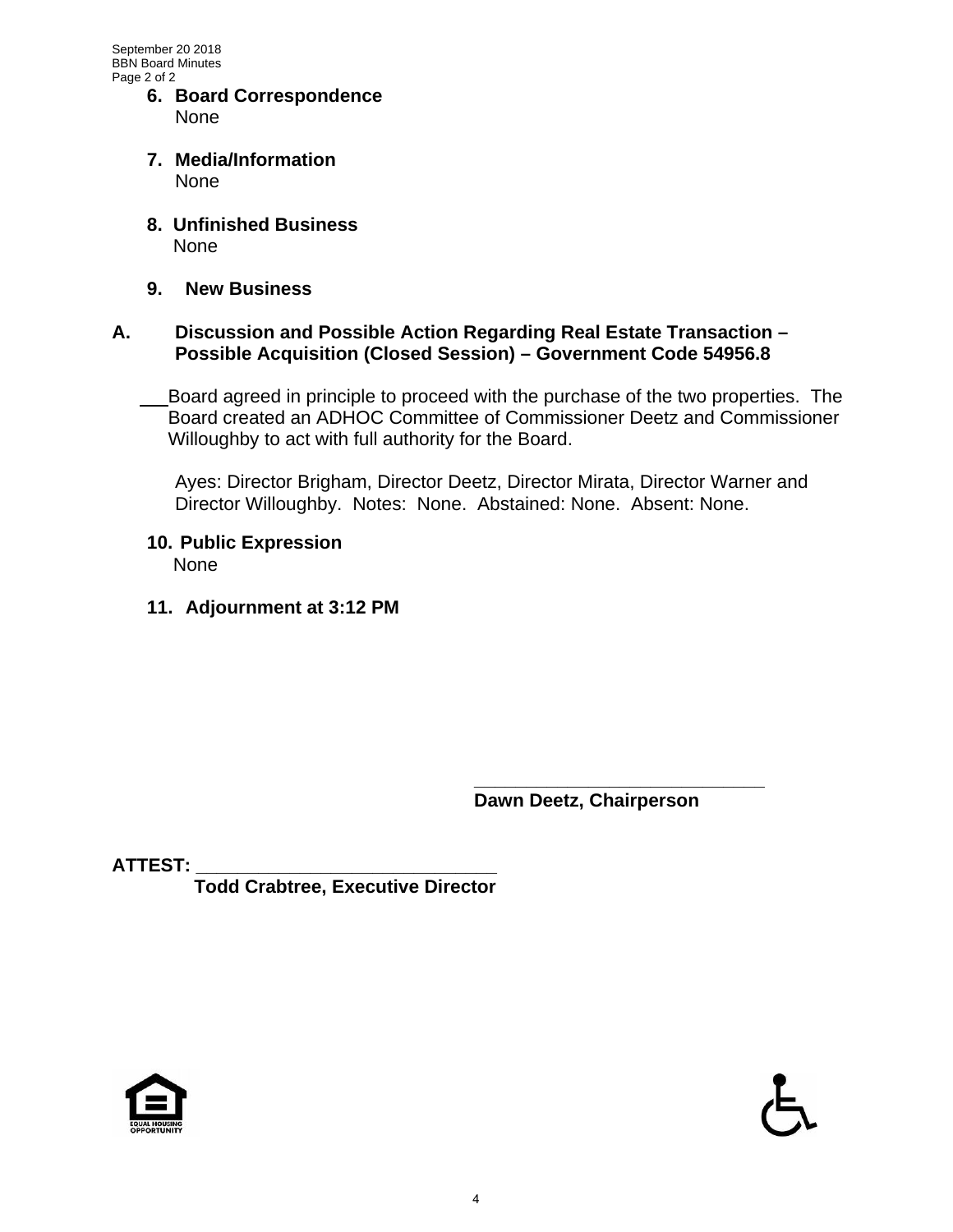- **6. Board Correspondence**  None
- **7. Media/Information**  None
- **8. Unfinished Business**  None
- **9. New Business**

#### **A. Discussion and Possible Action Regarding Real Estate Transaction – Possible Acquisition (Closed Session) – Government Code 54956.8**

Board agreed in principle to proceed with the purchase of the two properties. The Board created an ADHOC Committee of Commissioner Deetz and Commissioner Willoughby to act with full authority for the Board.

 Ayes: Director Brigham, Director Deetz, Director Mirata, Director Warner and Director Willoughby. Notes: None. Abstained: None. Absent: None.

- **10. Public Expression**  None
- **11. Adjournment at 3:12 PM**

 **\_\_\_\_\_\_\_\_\_\_\_\_\_\_\_\_\_\_\_\_\_\_\_\_\_\_\_\_ Dawn Deetz, Chairperson** 

**ATTEST: \_\_\_\_\_\_\_\_\_\_\_\_\_\_\_\_\_\_\_\_\_\_\_\_\_\_\_\_\_** 

 **Todd Crabtree, Executive Director** 



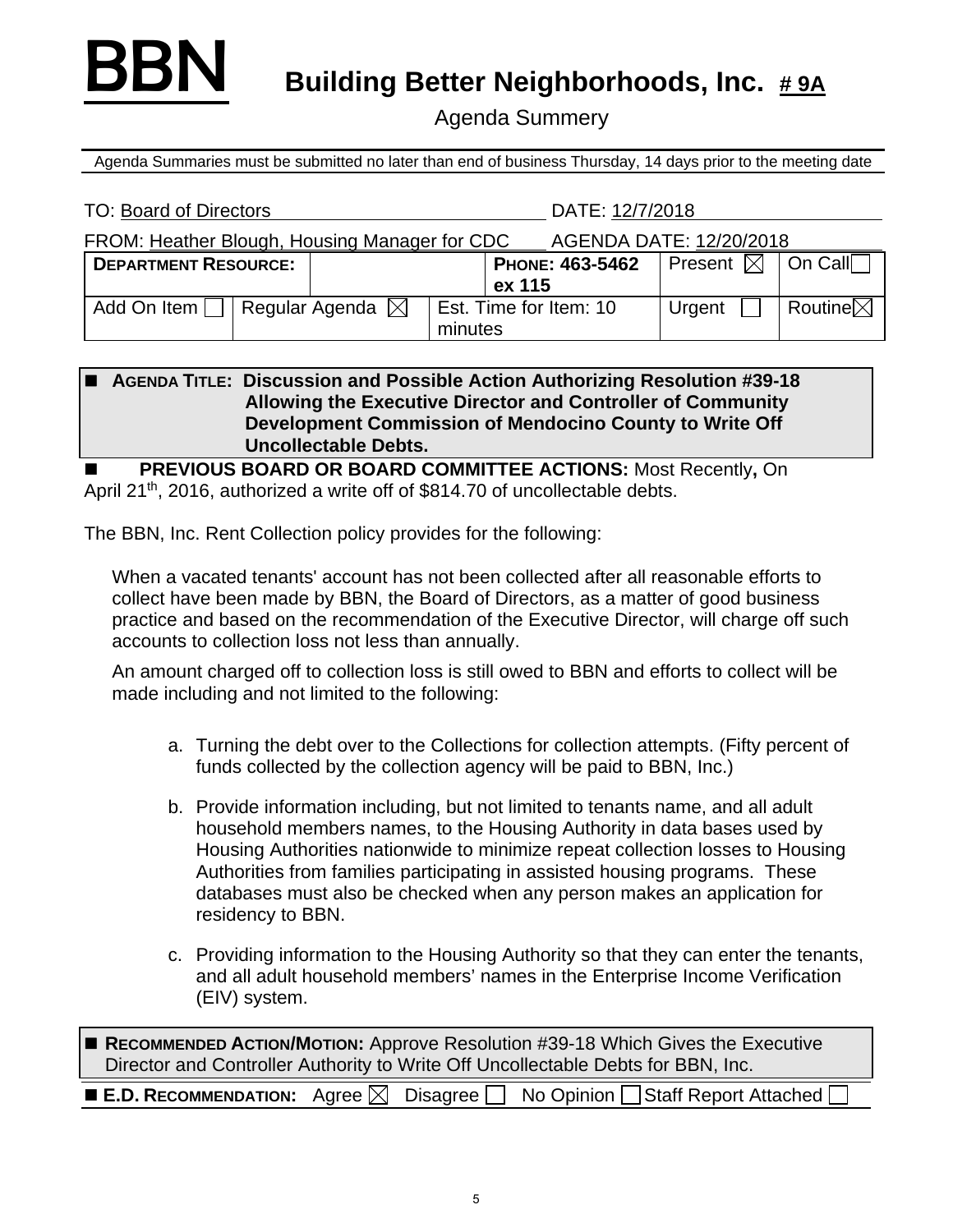

**BBN** Building Better Neighborhoods, Inc. #9A

Agenda Summery

Agenda Summaries must be submitted no later than end of business Thursday, 14 days prior to the meeting date

| <b>TO: Board of Directors</b>                 |                            |                                   |  | DATE: 12/7/2018               |                     |  |
|-----------------------------------------------|----------------------------|-----------------------------------|--|-------------------------------|---------------------|--|
| FROM: Heather Blough, Housing Manager for CDC |                            | AGENDA DATE: 12/20/2018           |  |                               |                     |  |
| <b>DEPARTMENT RESOURCE:</b>                   |                            | PHONE: 463-5462<br>ex 115         |  | Present $\boxtimes$   On Call |                     |  |
|                                               |                            |                                   |  |                               |                     |  |
| Add On Item                                   | Regular Agenda $\boxtimes$ | Est. Time for Item: 10<br>minutes |  | Urgent                        | Routine $\boxtimes$ |  |

|  | <b>AGENDA TITLE: Discussion and Possible Action Authorizing Resolution #39-18</b> |
|--|-----------------------------------------------------------------------------------|
|  | Allowing the Executive Director and Controller of Community                       |
|  | Development Commission of Mendocino County to Write Off                           |
|  | <b>Uncollectable Debts.</b>                                                       |

 **PREVIOUS BOARD OR BOARD COMMITTEE ACTIONS:** Most Recently**,** On April 21<sup>th</sup>, 2016, authorized a write off of \$814.70 of uncollectable debts.

The BBN, Inc. Rent Collection policy provides for the following:

When a vacated tenants' account has not been collected after all reasonable efforts to collect have been made by BBN, the Board of Directors, as a matter of good business practice and based on the recommendation of the Executive Director, will charge off such accounts to collection loss not less than annually.

An amount charged off to collection loss is still owed to BBN and efforts to collect will be made including and not limited to the following:

- a. Turning the debt over to the Collections for collection attempts. (Fifty percent of funds collected by the collection agency will be paid to BBN, Inc.)
- b. Provide information including, but not limited to tenants name, and all adult household members names, to the Housing Authority in data bases used by Housing Authorities nationwide to minimize repeat collection losses to Housing Authorities from families participating in assisted housing programs. These databases must also be checked when any person makes an application for residency to BBN.
- c. Providing information to the Housing Authority so that they can enter the tenants, and all adult household members' names in the Enterprise Income Verification (EIV) system.

■ RECOMMENDED ACTION/MOTION: Approve Resolution #39-18 Which Gives the Executive Director and Controller Authority to Write Off Uncollectable Debts for BBN, Inc.

|  |  |  |  | <b>E.D. RECOMMENDATION:</b> Agree $\boxtimes$ Disagree $\Box$ No Opinion $\Box$ Staff Report Attached $\Box$ |
|--|--|--|--|--------------------------------------------------------------------------------------------------------------|
|--|--|--|--|--------------------------------------------------------------------------------------------------------------|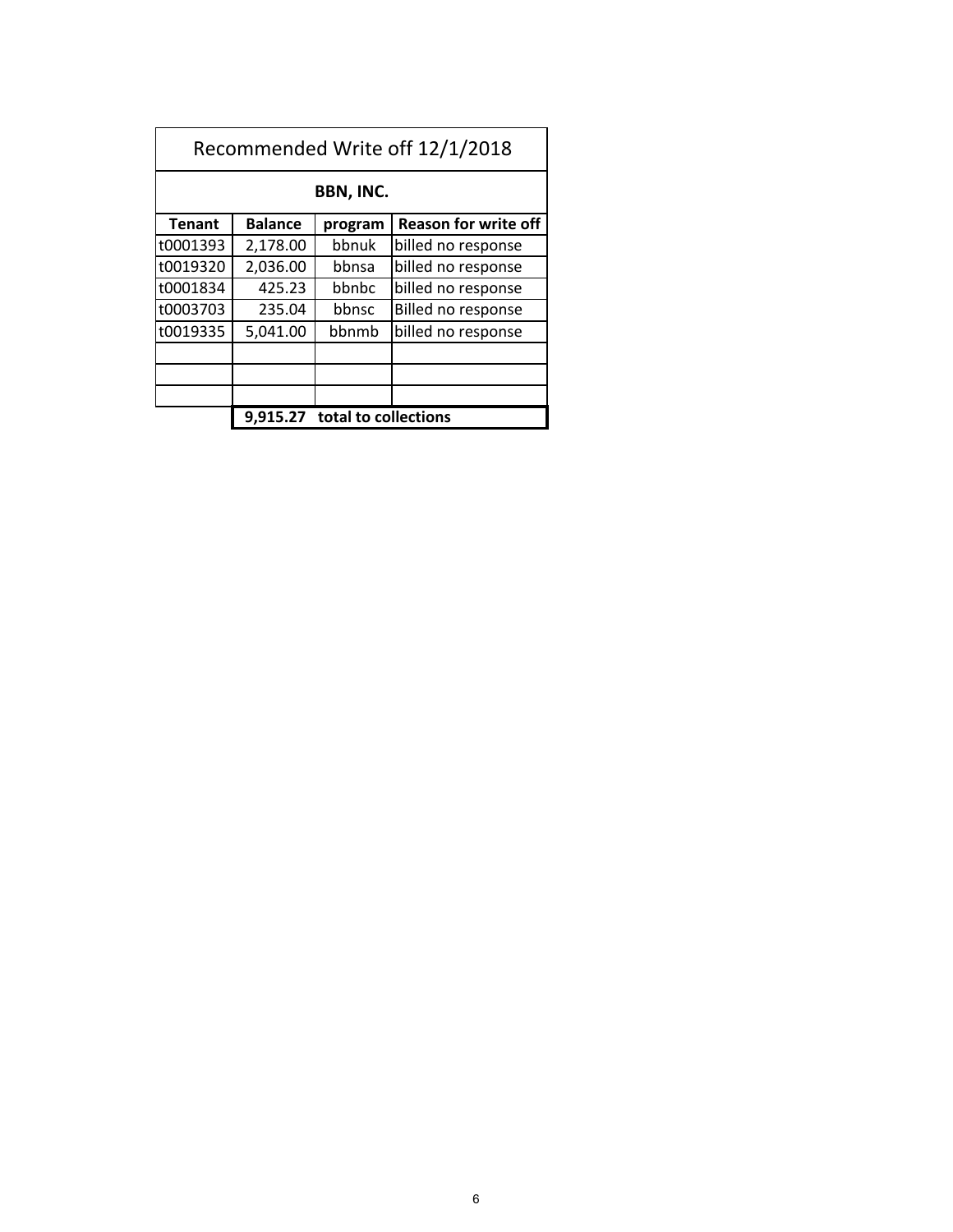| Recommended Write off 12/1/2018 |                                      |         |                             |  |  |
|---------------------------------|--------------------------------------|---------|-----------------------------|--|--|
| BBN, INC.                       |                                      |         |                             |  |  |
| <b>Tenant</b>                   | <b>Balance</b>                       | program | <b>Reason for write off</b> |  |  |
| t0001393                        | 2,178.00                             | bbnuk   | billed no response          |  |  |
| t0019320                        | 2,036.00                             | bbnsa   | billed no response          |  |  |
| t0001834                        | 425.23                               | bbnbc   | billed no response          |  |  |
| t0003703                        | 235.04                               | bbnsc   | Billed no response          |  |  |
| t0019335                        | 5,041.00                             | bbnmb   | billed no response          |  |  |
|                                 |                                      |         |                             |  |  |
|                                 |                                      |         |                             |  |  |
|                                 |                                      |         |                             |  |  |
|                                 | total to collections<br>9.91<br>5.27 |         |                             |  |  |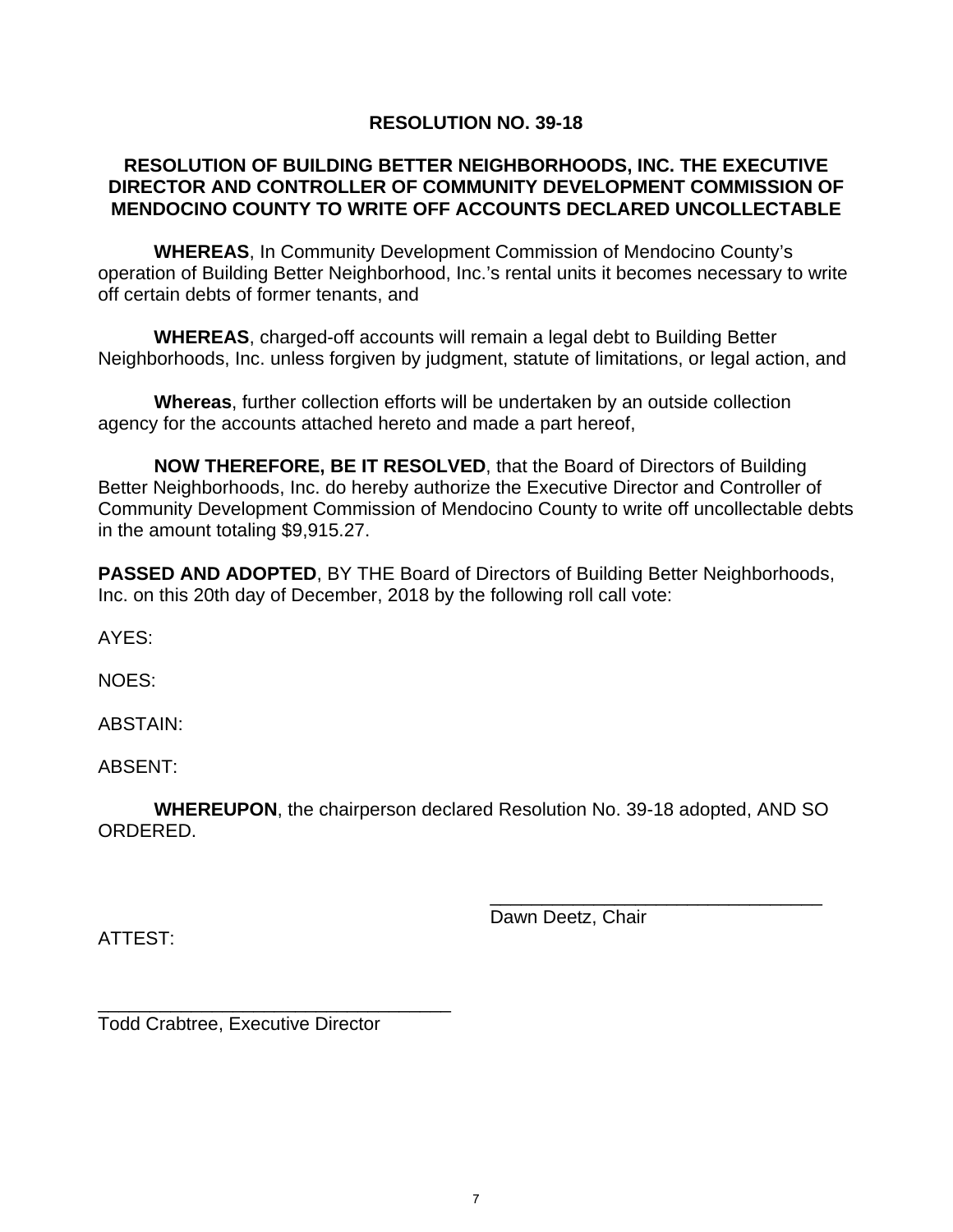#### **RESOLUTION NO. 39-18**

#### **RESOLUTION OF BUILDING BETTER NEIGHBORHOODS, INC. THE EXECUTIVE DIRECTOR AND CONTROLLER OF COMMUNITY DEVELOPMENT COMMISSION OF MENDOCINO COUNTY TO WRITE OFF ACCOUNTS DECLARED UNCOLLECTABLE**

**WHEREAS**, In Community Development Commission of Mendocino County's operation of Building Better Neighborhood, Inc.'s rental units it becomes necessary to write off certain debts of former tenants, and

**WHEREAS**, charged-off accounts will remain a legal debt to Building Better Neighborhoods, Inc. unless forgiven by judgment, statute of limitations, or legal action, and

**Whereas**, further collection efforts will be undertaken by an outside collection agency for the accounts attached hereto and made a part hereof,

 **NOW THEREFORE, BE IT RESOLVED**, that the Board of Directors of Building Better Neighborhoods, Inc. do hereby authorize the Executive Director and Controller of Community Development Commission of Mendocino County to write off uncollectable debts in the amount totaling \$9,915.27.

**PASSED AND ADOPTED, BY THE Board of Directors of Building Better Neighborhoods,** Inc. on this 20th day of December, 2018 by the following roll call vote:

AYES:

NOES:

ABSTAIN:

ABSENT:

**WHEREUPON**, the chairperson declared Resolution No. 39-18 adopted, AND SO ORDERED.

 $\overline{\phantom{a}}$  , and the contract of the contract of the contract of the contract of the contract of the contract of the contract of the contract of the contract of the contract of the contract of the contract of the contrac

ATTEST:

Dawn Deetz, Chair

Todd Crabtree, Executive Director

\_\_\_\_\_\_\_\_\_\_\_\_\_\_\_\_\_\_\_\_\_\_\_\_\_\_\_\_\_\_\_\_\_\_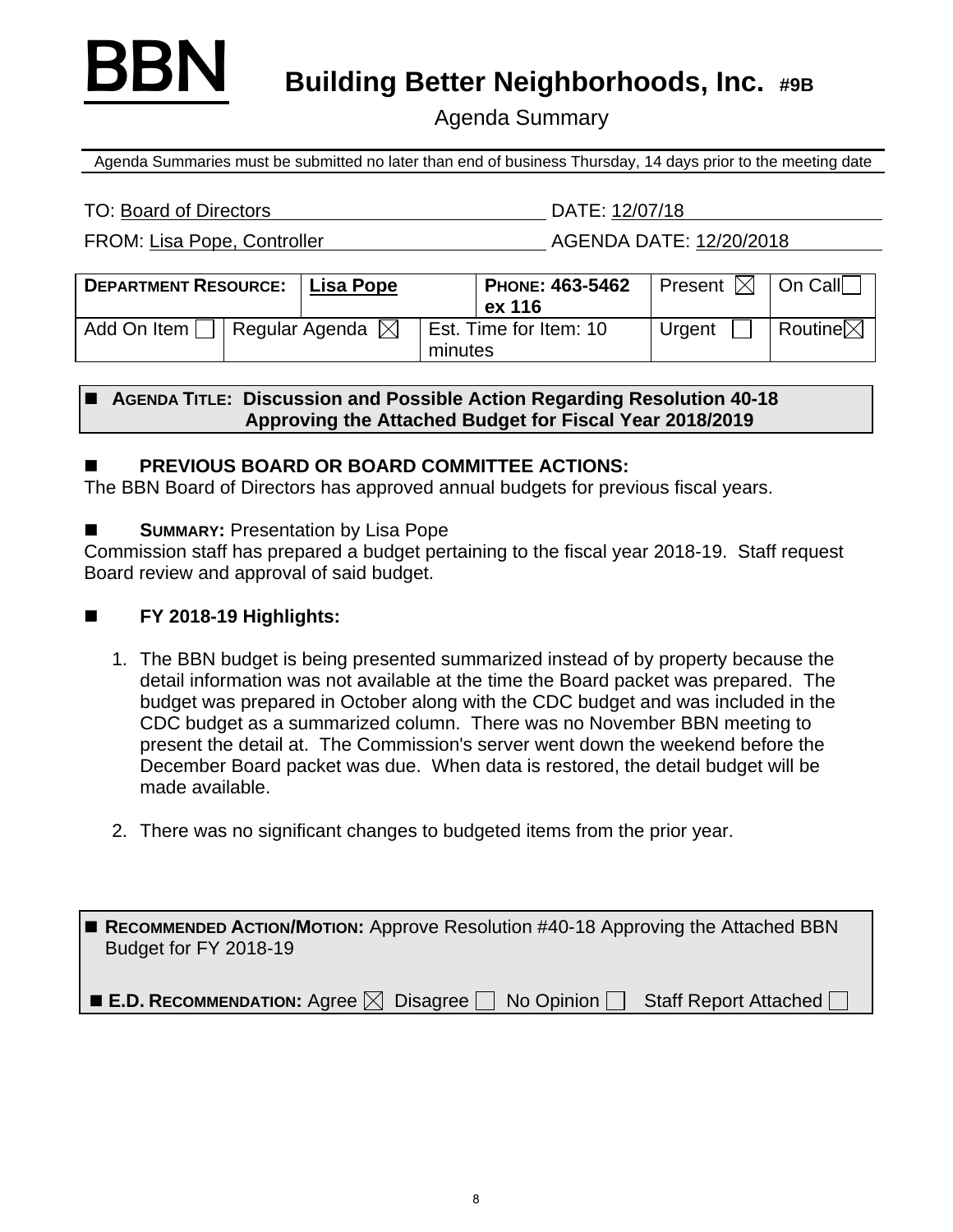

**BBN** Building Better Neighborhoods, Inc. #9B

Agenda Summary

Agenda Summaries must be submitted no later than end of business Thursday, 14 days prior to the meeting date

#### TO: Board of Directors DATE: 12/07/18

FROM: Lisa Pope, Controller AGENDA DATE: 12/20/2018

| <b>DEPARTMENT RESOURCE:</b> | Lisa Pope                  |                                   | PHONE: 463-5462<br>ex 116 | Present $\boxtimes$ | On Call             |
|-----------------------------|----------------------------|-----------------------------------|---------------------------|---------------------|---------------------|
| Add On Item                 | Regular Agenda $\boxtimes$ | Est. Time for Item: 10<br>minutes |                           | Urgent              | Routine $\boxtimes$ |

### ■ AGENDA TITLE: Discussion and Possible Action Regarding Resolution 40-18 **Approving the Attached Budget for Fiscal Year 2018/2019**

## **PREVIOUS BOARD OR BOARD COMMITTEE ACTIONS:**

The BBN Board of Directors has approved annual budgets for previous fiscal years.

## **SUMMARY:** Presentation by Lisa Pope

Commission staff has prepared a budget pertaining to the fiscal year 2018-19. Staff request Board review and approval of said budget.

## **FY 2018-19 Highlights:**

- 1. The BBN budget is being presented summarized instead of by property because the detail information was not available at the time the Board packet was prepared. The budget was prepared in October along with the CDC budget and was included in the CDC budget as a summarized column. There was no November BBN meeting to present the detail at. The Commission's server went down the weekend before the December Board packet was due. When data is restored, the detail budget will be made available.
- 2. There was no significant changes to budgeted items from the prior year.

■ RECOMMENDED ACTION/MOTION: Approve Resolution #40-18 Approving the Attached BBN Budget for FY 2018-19

■ E.D. RECOMMENDATION: Agree  $\boxtimes$  Disagree  $\Box$  No Opinion  $\Box$  Staff Report Attached  $\Box$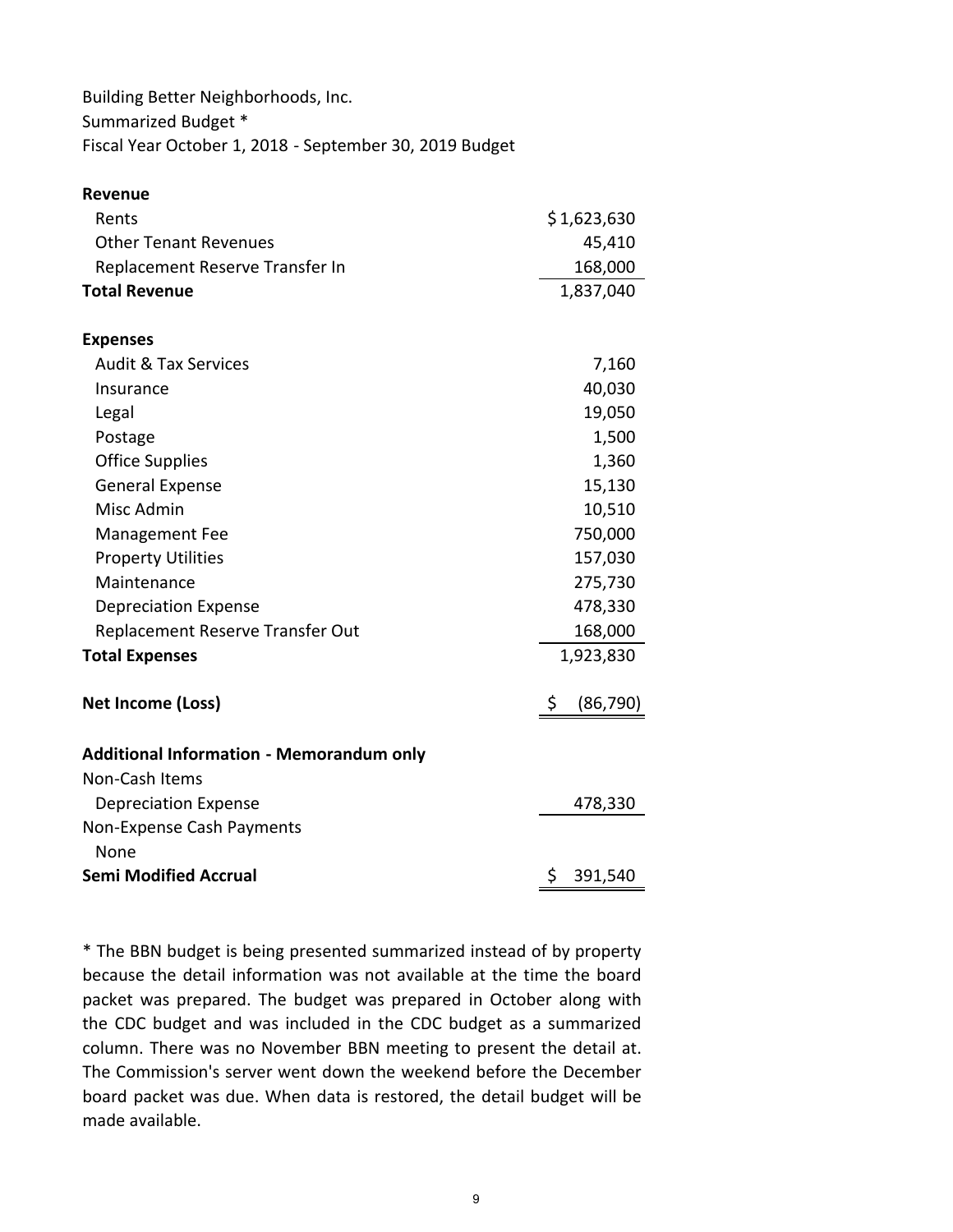Building Better Neighborhoods, Inc. Summarized Budget \* Fiscal Year October 1, 2018 ‐ September 30, 2019 Budget

| <b>Revenue</b>                                  |                 |
|-------------------------------------------------|-----------------|
| Rents                                           | \$1,623,630     |
| <b>Other Tenant Revenues</b>                    | 45,410          |
| Replacement Reserve Transfer In                 | 168,000         |
| <b>Total Revenue</b>                            | 1,837,040       |
| <b>Expenses</b>                                 |                 |
| <b>Audit &amp; Tax Services</b>                 | 7,160           |
| Insurance                                       | 40,030          |
| Legal                                           | 19,050          |
| Postage                                         | 1,500           |
| <b>Office Supplies</b>                          | 1,360           |
| <b>General Expense</b>                          | 15,130          |
| Misc Admin                                      | 10,510          |
| <b>Management Fee</b>                           | 750,000         |
| <b>Property Utilities</b>                       | 157,030         |
| Maintenance                                     | 275,730         |
| <b>Depreciation Expense</b>                     | 478,330         |
| Replacement Reserve Transfer Out                | 168,000         |
| <b>Total Expenses</b>                           | 1,923,830       |
| <b>Net Income (Loss)</b>                        | \$<br>(86, 790) |
| <b>Additional Information - Memorandum only</b> |                 |
| Non-Cash Items                                  |                 |
| <b>Depreciation Expense</b>                     | 478,330         |
| Non-Expense Cash Payments<br>None               |                 |
| <b>Semi Modified Accrual</b>                    | \$<br>391,540   |

\* The BBN budget is being presented summarized instead of by property because the detail information was not available at the time the board packet was prepared. The budget was prepared in October along with the CDC budget and was included in the CDC budget as a summarized column. There was no November BBN meeting to present the detail at. The Commission's server went down the weekend before the December board packet was due. When data is restored, the detail budget will be made available.